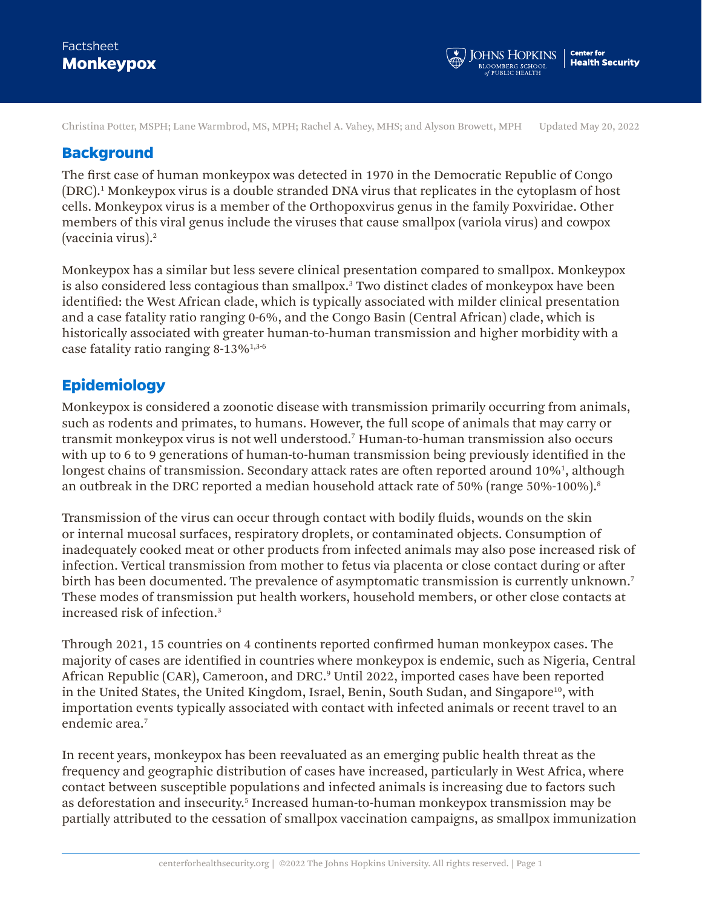Christina Potter, MSPH; Lane Warmbrod, MS, MPH; Rachel A. Vahey, MHS; and Alyson Browett, MPH Updated May 20, 2022

### **Background**

The first case of human monkeypox was detected in 1970 in the Democratic Republic of Congo (DRC).1 Monkeypox virus is a double stranded DNA virus that replicates in the cytoplasm of host cells. Monkeypox virus is a member of the Orthopoxvirus genus in the family Poxviridae. Other members of this viral genus include the viruses that cause smallpox (variola virus) and cowpox (vaccinia virus).<sup>2</sup>

Monkeypox has a similar but less severe clinical presentation compared to smallpox. Monkeypox is also considered less contagious than smallpox.<sup>3</sup> Two distinct clades of monkeypox have been identified: the West African clade, which is typically associated with milder clinical presentation and a case fatality ratio ranging 0-6%, and the Congo Basin (Central African) clade, which is historically associated with greater human-to-human transmission and higher morbidity with a case fatality ratio ranging 8-13%1,3-6

## **Epidemiology**

Monkeypox is considered a zoonotic disease with transmission primarily occurring from animals, such as rodents and primates, to humans. However, the full scope of animals that may carry or transmit monkeypox virus is not well understood.7 Human-to-human transmission also occurs with up to 6 to 9 generations of human-to-human transmission being previously identified in the longest chains of transmission. Secondary attack rates are often reported around 10%<sup>1</sup>, although an outbreak in the DRC reported a median household attack rate of  $50\%$  (range  $50\%$ -100%).<sup>8</sup>

Transmission of the virus can occur through contact with bodily fluids, wounds on the skin or internal mucosal surfaces, respiratory droplets, or contaminated objects. Consumption of inadequately cooked meat or other products from infected animals may also pose increased risk of infection. Vertical transmission from mother to fetus via placenta or close contact during or after birth has been documented. The prevalence of asymptomatic transmission is currently unknown.<sup>7</sup> These modes of transmission put health workers, household members, or other close contacts at increased risk of infection.<sup>3</sup>

Through 2021, 15 countries on 4 continents reported confirmed human monkeypox cases. The majority of cases are identified in countries where monkeypox is endemic, such as Nigeria, Central African Republic (CAR), Cameroon, and DRC.º Until 2022, imported cases have been reported in the United States, the United Kingdom, Israel, Benin, South Sudan, and Singapore<sup>10</sup>, with importation events typically associated with contact with infected animals or recent travel to an endemic area.<sup>7</sup>

In recent years, monkeypox has been reevaluated as an emerging public health threat as the frequency and geographic distribution of cases have increased, particularly in West Africa, where contact between susceptible populations and infected animals is increasing due to factors such as deforestation and insecurity.<sup>5</sup> Increased human-to-human monkeypox transmission may be partially attributed to the cessation of smallpox vaccination campaigns, as smallpox immunization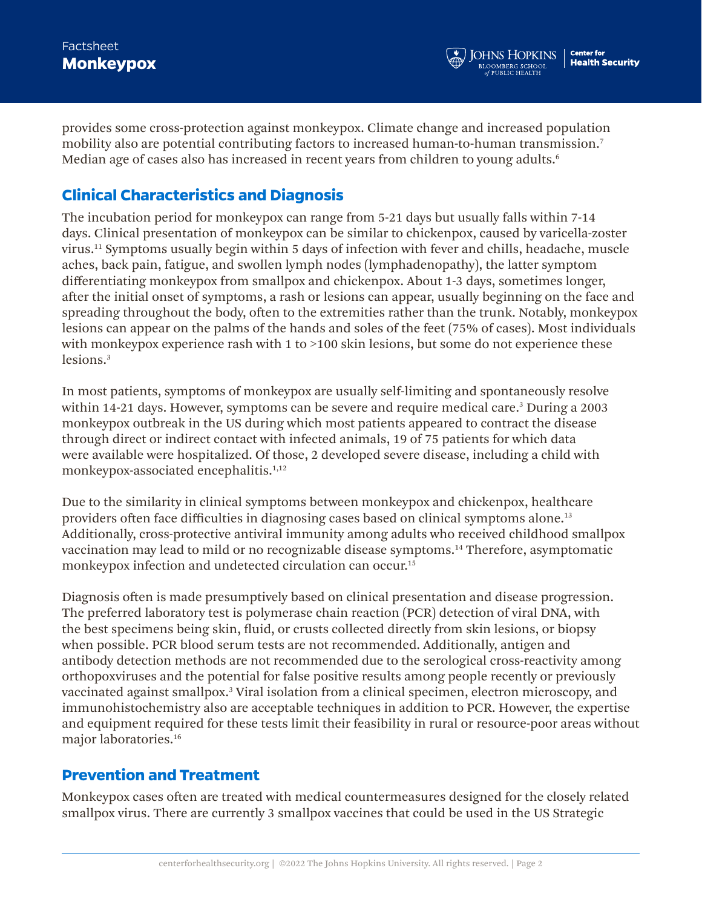provides some cross-protection against monkeypox. Climate change and increased population mobility also are potential contributing factors to increased human-to-human transmission.7 Median age of cases also has increased in recent years from children to young adults.<sup>6</sup>

# **Clinical Characteristics and Diagnosis**

The incubation period for monkeypox can range from 5-21 days but usually falls within 7-14 days. Clinical presentation of monkeypox can be similar to chickenpox, caused by varicella-zoster virus.11 Symptoms usually begin within 5 days of infection with fever and chills, headache, muscle aches, back pain, fatigue, and swollen lymph nodes (lymphadenopathy), the latter symptom differentiating monkeypox from smallpox and chickenpox. About 1-3 days, sometimes longer, after the initial onset of symptoms, a rash or lesions can appear, usually beginning on the face and spreading throughout the body, often to the extremities rather than the trunk. Notably, monkeypox lesions can appear on the palms of the hands and soles of the feet (75% of cases). Most individuals with monkeypox experience rash with 1 to >100 skin lesions, but some do not experience these lesions.<sup>3</sup>

In most patients, symptoms of monkeypox are usually self-limiting and spontaneously resolve within 14-21 days. However, symptoms can be severe and require medical care.<sup>3</sup> During a 2003 monkeypox outbreak in the US during which most patients appeared to contract the disease through direct or indirect contact with infected animals, 19 of 75 patients for which data were available were hospitalized. Of those, 2 developed severe disease, including a child with monkeypox-associated encephalitis.<sup>1,12</sup>

Due to the similarity in clinical symptoms between monkeypox and chickenpox, healthcare providers often face difficulties in diagnosing cases based on clinical symptoms alone.13 Additionally, cross-protective antiviral immunity among adults who received childhood smallpox vaccination may lead to mild or no recognizable disease symptoms.14 Therefore, asymptomatic monkeypox infection and undetected circulation can occur.<sup>15</sup>

Diagnosis often is made presumptively based on clinical presentation and disease progression. The preferred laboratory test is polymerase chain reaction (PCR) detection of viral DNA, with the best specimens being skin, fluid, or crusts collected directly from skin lesions, or biopsy when possible. PCR blood serum tests are not recommended. Additionally, antigen and antibody detection methods are not recommended due to the serological cross-reactivity among orthopoxviruses and the potential for false positive results among people recently or previously vaccinated against smallpox.<sup>3</sup> Viral isolation from a clinical specimen, electron microscopy, and immunohistochemistry also are acceptable techniques in addition to PCR. However, the expertise and equipment required for these tests limit their feasibility in rural or resource-poor areas without major laboratories.16

# **Prevention and Treatment**

Monkeypox cases often are treated with medical countermeasures designed for the closely related smallpox virus. There are currently 3 smallpox vaccines that could be used in the US Strategic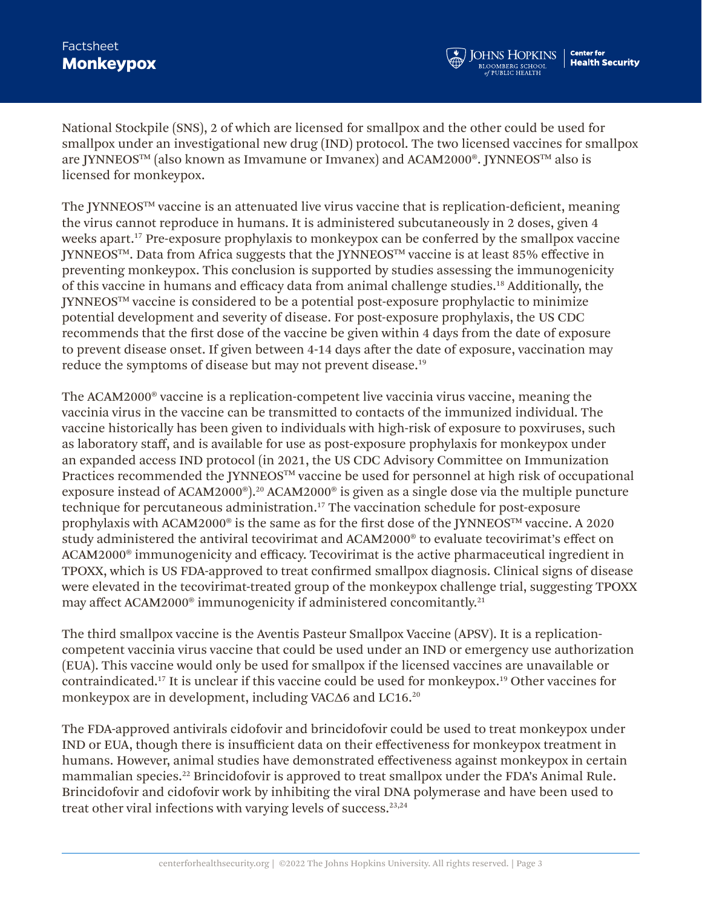### **Monkeypox Factsheet**

National Stockpile (SNS), 2 of which are licensed for smallpox and the other could be used for smallpox under an investigational new drug (IND) protocol. The two licensed vaccines for smallpox are JYNNEOS<sup>™</sup> (also known as Imvamune or Imvanex) and ACAM2000®. JYNNEOS™ also is licensed for monkeypox.

The JYNNEOSTM vaccine is an attenuated live virus vaccine that is replication-deficient, meaning the virus cannot reproduce in humans. It is administered subcutaneously in 2 doses, given 4 weeks apart.<sup>17</sup> Pre-exposure prophylaxis to monkeypox can be conferred by the smallpox vaccine JYNNEOS<sup>™</sup>. Data from Africa suggests that the JYNNEOS™ vaccine is at least 85% effective in preventing monkeypox. This conclusion is supported by studies assessing the immunogenicity of this vaccine in humans and efficacy data from animal challenge studies.18 Additionally, the JYNNEOSTM vaccine is considered to be a potential post-exposure prophylactic to minimize potential development and severity of disease. For post-exposure prophylaxis, the US CDC recommends that the first dose of the vaccine be given within 4 days from the date of exposure to prevent disease onset. If given between 4-14 days after the date of exposure, vaccination may reduce the symptoms of disease but may not prevent disease.<sup>19</sup>

The ACAM2000® vaccine is a replication-competent live vaccinia virus vaccine, meaning the vaccinia virus in the vaccine can be transmitted to contacts of the immunized individual. The vaccine historically has been given to individuals with high-risk of exposure to poxviruses, such as laboratory staff, and is available for use as post-exposure prophylaxis for monkeypox under an expanded access IND protocol (in 2021, the US CDC Advisory Committee on Immunization Practices recommended the JYNNEOS™ vaccine be used for personnel at high risk of occupational exposure instead of ACAM2000®).20 ACAM2000® is given as a single dose via the multiple puncture technique for percutaneous administration.17 The vaccination schedule for post-exposure prophylaxis with ACAM2000<sup>®</sup> is the same as for the first dose of the JYNNEOS™ vaccine. A 2020 study administered the antiviral tecovirimat and ACAM2000® to evaluate tecovirimat's effect on ACAM2000® immunogenicity and efficacy. Tecovirimat is the active pharmaceutical ingredient in TPOXX, which is US FDA-approved to treat confirmed smallpox diagnosis. Clinical signs of disease were elevated in the tecovirimat-treated group of the monkeypox challenge trial, suggesting TPOXX may affect ACAM2000<sup>®</sup> immunogenicity if administered concomitantly.<sup>21</sup>

The third smallpox vaccine is the Aventis Pasteur Smallpox Vaccine (APSV). It is a replicationcompetent vaccinia virus vaccine that could be used under an IND or emergency use authorization (EUA). This vaccine would only be used for smallpox if the licensed vaccines are unavailable or contraindicated.17 It is unclear if this vaccine could be used for monkeypox.19 Other vaccines for monkeypox are in development, including VACΔ6 and LC16.<sup>20</sup>

The FDA-approved antivirals cidofovir and brincidofovir could be used to treat monkeypox under IND or EUA, though there is insufficient data on their effectiveness for monkeypox treatment in humans. However, animal studies have demonstrated effectiveness against monkeypox in certain mammalian species.<sup>22</sup> Brincidofovir is approved to treat smallpox under the FDA's Animal Rule. Brincidofovir and cidofovir work by inhibiting the viral DNA polymerase and have been used to treat other viral infections with varying levels of success. $23,24$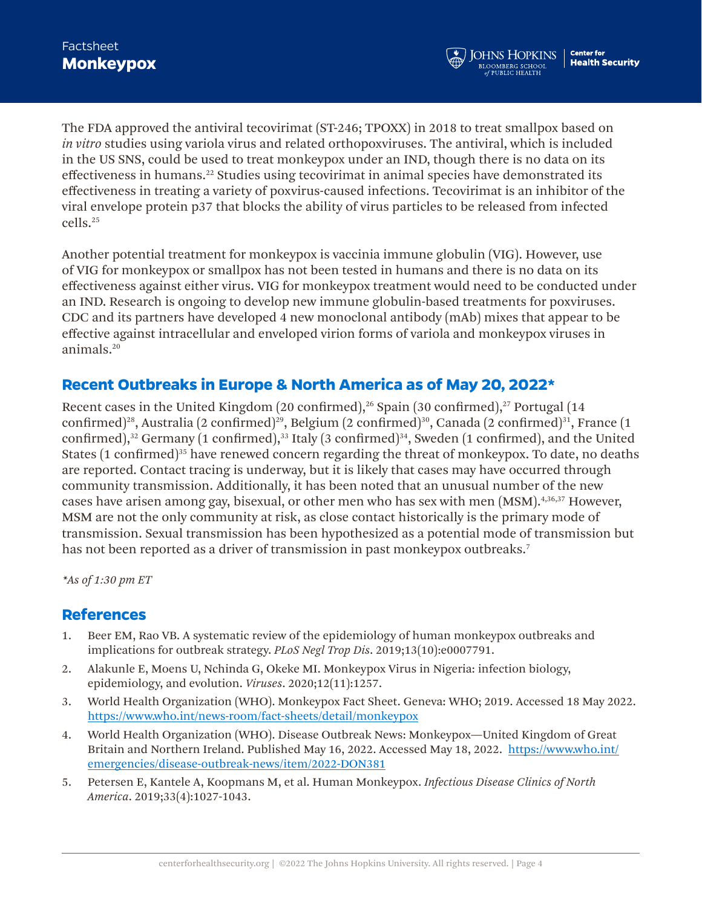The FDA approved the antiviral tecovirimat (ST-246; TPOXX) in 2018 to treat smallpox based on *in vitro* studies using variola virus and related orthopoxviruses. The antiviral, which is included in the US SNS, could be used to treat monkeypox under an IND, though there is no data on its effectiveness in humans.<sup>22</sup> Studies using tecovirimat in animal species have demonstrated its effectiveness in treating a variety of poxvirus-caused infections. Tecovirimat is an inhibitor of the viral envelope protein p37 that blocks the ability of virus particles to be released from infected cells.25

Another potential treatment for monkeypox is vaccinia immune globulin (VIG). However, use of VIG for monkeypox or smallpox has not been tested in humans and there is no data on its effectiveness against either virus. VIG for monkeypox treatment would need to be conducted under an IND. Research is ongoing to develop new immune globulin-based treatments for poxviruses. CDC and its partners have developed 4 new monoclonal antibody (mAb) mixes that appear to be effective against intracellular and enveloped virion forms of variola and monkeypox viruses in animals.20

# **Recent Outbreaks in Europe & North America as of May 20, 2022\***

Recent cases in the United Kingdom (20 confirmed), $26$  Spain (30 confirmed), $27$  Portugal (14 confirmed)<sup>28</sup>, Australia (2 confirmed)<sup>29</sup>, Belgium (2 confirmed)<sup>30</sup>, Canada (2 confirmed)<sup>31</sup>, France (1 confirmed), $32$  Germany (1 confirmed), $33$  Italy (3 confirmed) $34$ , Sweden (1 confirmed), and the United States (1 confirmed)<sup>35</sup> have renewed concern regarding the threat of monkeypox. To date, no deaths are reported. Contact tracing is underway, but it is likely that cases may have occurred through community transmission. Additionally, it has been noted that an unusual number of the new cases have arisen among gay, bisexual, or other men who has sex with men (MSM).4,36,37 However, MSM are not the only community at risk, as close contact historically is the primary mode of transmission. Sexual transmission has been hypothesized as a potential mode of transmission but has not been reported as a driver of transmission in past monkeypox outbreaks.<sup>7</sup>

*\*As of 1:30 pm ET*

#### **References**

- 1. Beer EM, Rao VB. A systematic review of the epidemiology of human monkeypox outbreaks and implications for outbreak strategy. *PLoS Negl Trop Dis*. 2019;13(10):e0007791.
- 2. Alakunle E, Moens U, Nchinda G, Okeke MI. Monkeypox Virus in Nigeria: infection biology, epidemiology, and evolution. *Viruses*. 2020;12(11):1257.
- 3. World Health Organization (WHO). Monkeypox Fact Sheet. Geneva: WHO; 2019. Accessed 18 May 2022. <https://www.who.int/news-room/fact-sheets/detail/monkeypox>
- 4. World Health Organization (WHO). Disease Outbreak News: Monkeypox—United Kingdom of Great Britain and Northern Ireland. Published May 16, 2022. Accessed May 18, 2022. [https://www.who.int/](https://www.who.int/emergencies/disease-outbreak-news/item/2022-DON381) [emergencies/disease-outbreak-news/item/2022-DON381](https://www.who.int/emergencies/disease-outbreak-news/item/2022-DON381)
- 5. Petersen E, Kantele A, Koopmans M, et al. Human Monkeypox. *Infectious Disease Clinics of North America*. 2019;33(4):1027-1043.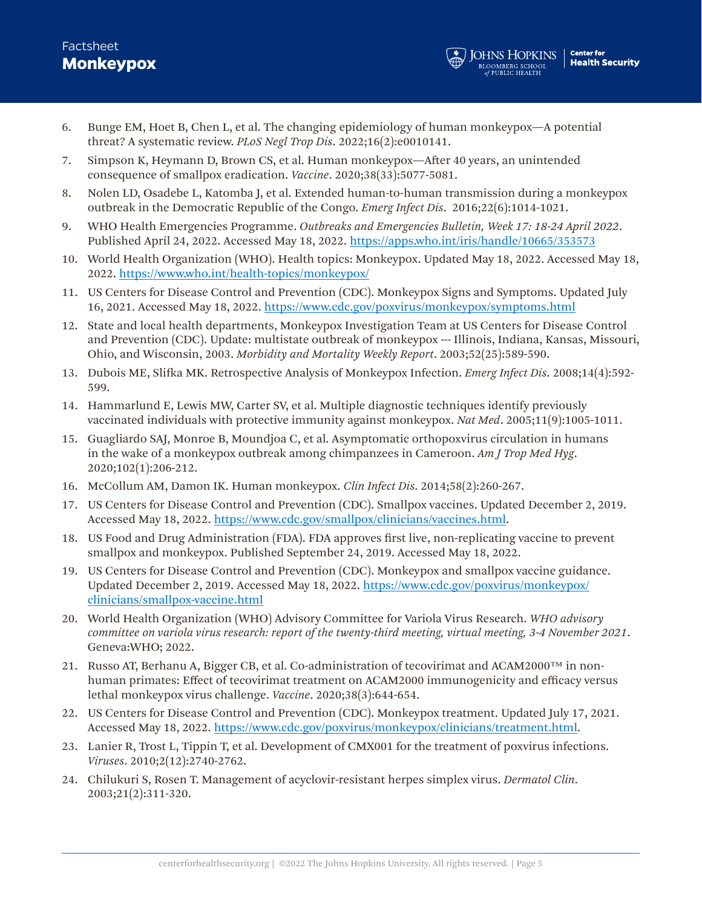## **Monkeypox** Factsheet

- 6. Bunge EM, Hoet B, Chen L, et al. The changing epidemiology of human monkeypox—A potential threat? A systematic review. *PLoS Negl Trop Dis*. 2022;16(2):e0010141.
- 7. Simpson K, Heymann D, Brown CS, et al. Human monkeypox—After 40 years, an unintended consequence of smallpox eradication. *Vaccine*. 2020;38(33):5077-5081.
- 8. Nolen LD, Osadebe L, Katomba J, et al. Extended human-to-human transmission during a monkeypox outbreak in the Democratic Republic of the Congo. *Emerg Infect Dis*. 2016;22(6):1014-1021.
- 9. WHO Health Emergencies Programme. *Outbreaks and Emergencies Bulletin, Week 17: 18-24 April 2022*. Published April 24, 2022. Accessed May 18, 2022.<https://apps.who.int/iris/handle/10665/353573>
- 10. World Health Organization (WHO). Health topics: Monkeypox. Updated May 18, 2022. Accessed May 18, 2022.<https://www.who.int/health-topics/monkeypox/>
- 11. US Centers for Disease Control and Prevention (CDC). Monkeypox Signs and Symptoms. Updated July 16, 2021. Accessed May 18, 2022. <https://www.cdc.gov/poxvirus/monkeypox/symptoms.html>
- 12. State and local health departments, Monkeypox Investigation Team at US Centers for Disease Control and Prevention (CDC). Update: multistate outbreak of monkeypox --- Illinois, Indiana, Kansas, Missouri, Ohio, and Wisconsin, 2003. *Morbidity and Mortality Weekly Report*. 2003;52(25):589-590.
- 13. Dubois ME, Slifka MK. Retrospective Analysis of Monkeypox Infection. *Emerg Infect Dis*. 2008;14(4):592- 599.
- 14. Hammarlund E, Lewis MW, Carter SV, et al. Multiple diagnostic techniques identify previously vaccinated individuals with protective immunity against monkeypox. *Nat Med*. 2005;11(9):1005-1011.
- 15. Guagliardo SAJ, Monroe B, Moundjoa C, et al. Asymptomatic orthopoxvirus circulation in humans in the wake of a monkeypox outbreak among chimpanzees in Cameroon. *Am J Trop Med Hyg*. 2020;102(1):206-212.
- 16. McCollum AM, Damon IK. Human monkeypox. *Clin Infect Dis*. 2014;58(2):260-267.
- 17. US Centers for Disease Control and Prevention (CDC). Smallpox vaccines. Updated December 2, 2019. Accessed May 18, 2022. <https://www.cdc.gov/smallpox/clinicians/vaccines.html>.
- 18. US Food and Drug Administration (FDA). FDA approves first live, non-replicating vaccine to prevent smallpox and monkeypox. Published September 24, 2019. Accessed May 18, 2022.
- 19. US Centers for Disease Control and Prevention (CDC). Monkeypox and smallpox vaccine guidance. Updated December 2, 2019. Accessed May 18, 2022. [https://www.cdc.gov/poxvirus/monkeypox/](https://www.cdc.gov/poxvirus/monkeypox/clinicians/smallpox-vaccine.html) [clinicians/smallpox-vaccine.html](https://www.cdc.gov/poxvirus/monkeypox/clinicians/smallpox-vaccine.html)
- 20. World Health Organization (WHO) Advisory Committee for Variola Virus Research. *WHO advisory committee on variola virus research: report of the twenty-third meeting, virtual meeting, 3-4 November 2021*. Geneva:WHO; 2022.
- 21. Russo AT, Berhanu A, Bigger CB, et al. Co-administration of tecovirimat and ACAM2000 $\text{TM}$  in nonhuman primates: Effect of tecovirimat treatment on ACAM2000 immunogenicity and efficacy versus lethal monkeypox virus challenge. *Vaccine*. 2020;38(3):644-654.
- 22. US Centers for Disease Control and Prevention (CDC). Monkeypox treatment. Updated July 17, 2021. Accessed May 18, 2022. [https://www.cdc.gov/poxvirus/monkeypox/clinicians/treatment.html.](https://www.cdc.gov/poxvirus/monkeypox/clinicians/treatment.html)
- 23. Lanier R, Trost L, Tippin T, et al. Development of CMX001 for the treatment of poxvirus infections. *Viruses*. 2010;2(12):2740-2762.
- 24. Chilukuri S, Rosen T. Management of acyclovir-resistant herpes simplex virus. *Dermatol Clin*. 2003;21(2):311-320.